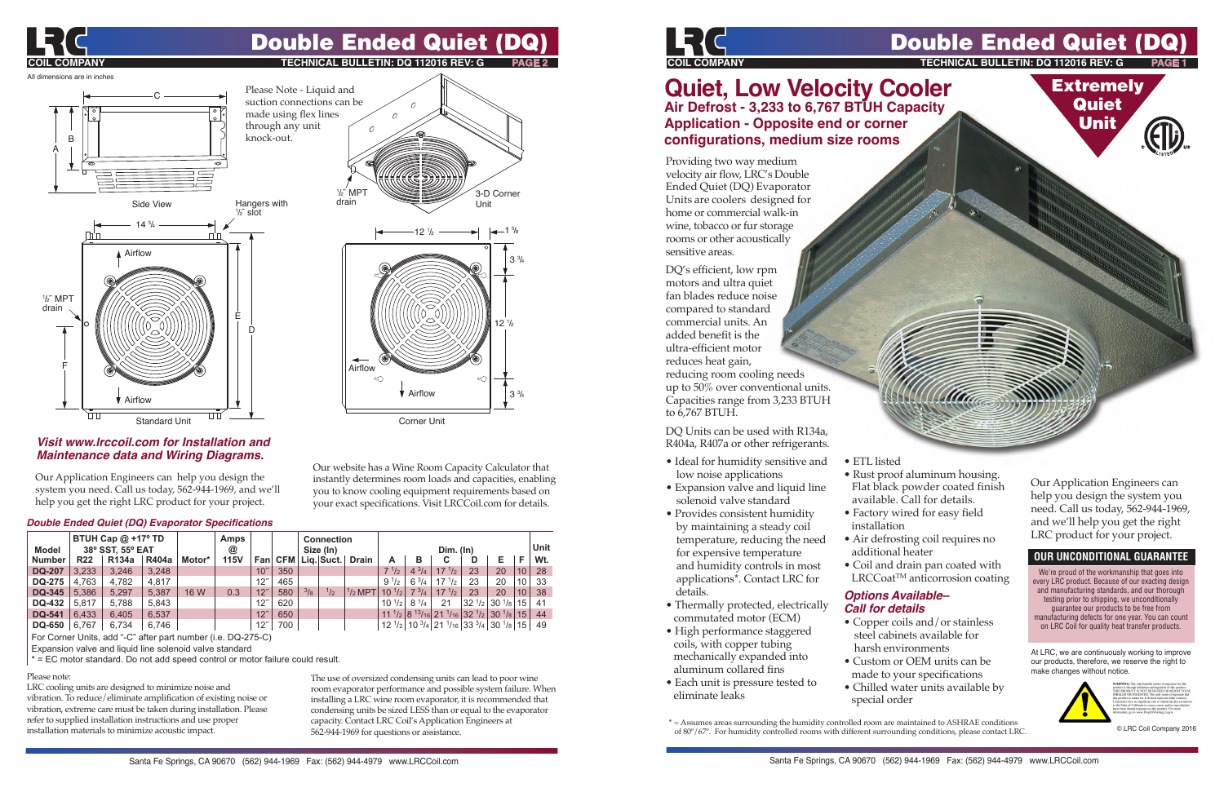

## Double Ended Quiet (D

**Extremely Quiet** Unit

**ECHNICAL BULLETIN: DQ 112016 REV: G** 

### **Quiet, Low Velocity Cooler Air Defrost - 3,233 to 6,767 BTUH Capacity Application - Opposite end or corner configurations, medium size rooms**

Providing two way medium velocity air flow, LRC's Double Ended Quiet (DQ) Evaporator Units are coolers designed for home or commercial walk-in wine, tobacco or fur storage rooms or other acoustically sensitive areas.

DQ's efficient, low rpm motors and ultra quiet fan blades reduce noise compared to standard commercial units. An added benefit is the ultra-efficient motor reduces heat gain, reducing room cooling needs

up to 50% over conventional units. Capacities range from 3,233 BTUH to 6,767 BTUH.

DQ Units can be used with R134a, R404a, R407a or other refrigerants.

- Ideal for humidity sensitive and low noise applications
- Expansion valve and liquid line solenoid valve standard
- Provides consistent humidity by maintaining a steady coil temperature, reducing the need for expensive temperature and humidity controls in most applications\*. Contact LRC for details.
- Thermally protected, electrically commutated motor (ECM)
- High performance staggered coils, with copper tubing mechanically expanded into aluminum collared fins
- Each unit is pressure tested to eliminate leaks
- ETL listed
- Rust proof aluminum housing. Flat black powder coated finish available. Call for details.
- Factory wired for easy field installation
- Air defrosting coil requires no additional heater
- Coil and drain pan coated with LRCCoat<sup>™</sup> anticorrosion coating

### *Options Available– Call for details*

- Copper coils and/or stainless steel cabinets available for harsh environments
- Custom or OEM units can be made to your specifications
- Chilled water units available by special order

Our Application Engineers can help you design the system you need. Call us today, 562-944-1969, and we'll help you get the right LRC product for your project.

### **OUR UNCONDITIONAL GUARANTEE**

We're proud of the workmanship that goes into every LRC product. Because of our exacting design and manufacturing standards, and our thorough testing prior to shipping, we unconditionally guarantee our products to be free from manufacturing defects for one year. You can count on LRC Coil for quality heat transfer products.

At LRC, we are continuously working to improve our products, therefore, we reserve the right to make changes without notice.



© LRC Coil Company 2016

**\*** = Assumes areas surrounding the humidity controlled room are maintained to ASHRAE conditions of 80º/67º. For humidity controlled rooms with different surrounding conditions, please contact LRC.